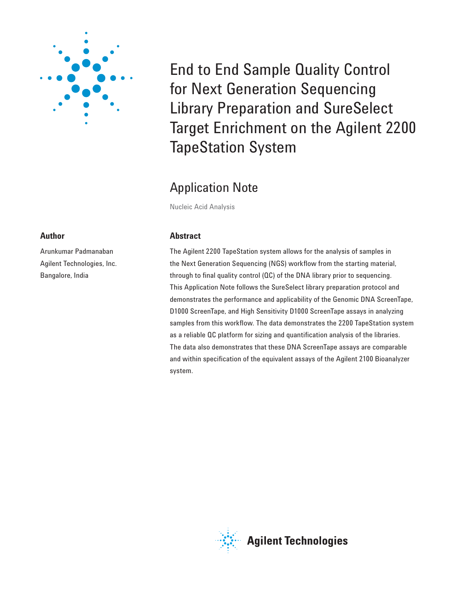

# **Author**

Arunkumar Padmanaban Agilent Technologies, Inc. Bangalore, India

End to End Sample Quality Control for Next Generation Sequencing Library Preparation and SureSelect Target Enrichment on the Agilent 2200 TapeStation System

# Application Note

Nucleic Acid Analysis

# **Abstract**

The Agilent 2200 TapeStation system allows for the analysis of samples in the Next Generation Sequencing (NGS) workflow from the starting material, through to final quality control  $(OC)$  of the DNA library prior to sequencing. This Application Note follows the SureSelect library preparation protocol and demonstrates the performance and applicability of the Genomic DNA ScreenTape, D1000 ScreenTape, and High Sensitivity D1000 ScreenTape assays in analyzing samples from this workflow. The data demonstrates the 2200 TapeStation system as a reliable QC platform for sizing and quantification analysis of the libraries. The data also demonstrates that these DNA ScreenTape assays are comparable and within specification of the equivalent assays of the Agilent 2100 Bioanalyzer system.

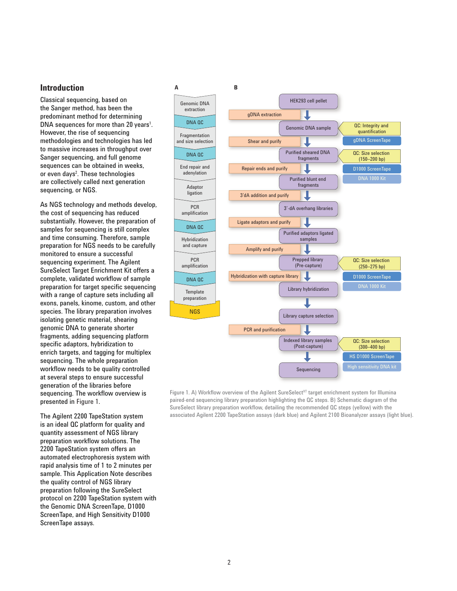### **Introduction**

Classical sequencing, based on the Sanger method, has been the predominant method for determining DNA sequences for more than 20 years<sup>1</sup>. However, the rise of sequencing methodologies and technologies has led to massive increases in throughput over Sanger sequencing, and full genome sequences can be obtained in weeks, or even days<sup>2</sup>. These technologies are collectively called next generation sequencing, or NGS.

As NGS technology and methods develop, the cost of sequencing has reduced substantially. However, the preparation of samples for sequencing is still complex and time consuming. Therefore, sample preparation for NGS needs to be carefully monitored to ensure a successful sequencing experiment. The Agilent SureSelect Target Enrichment Kit offers a complete, validated workflow of sample preparation for target specific sequencing with a range of capture sets including all exons, panels, kinome, custom, and other species. The library preparation involves isolating genetic material, shearing genomic DNA to generate shorter fragments, adding sequencing platform specific adaptors, hybridization to enrich targets, and tagging for multiplex sequencing. The whole preparation workflow needs to be quality controlled at several steps to ensure successful generation of the libraries before sequencing. The workflow overview is presented in Figure 1.

The Agilent 2200 TapeStation system is an ideal QC platform for quality and quantity assessment of NGS library preparation workflow solutions. The 2200 TapeStation system offers an automated electrophoresis system with rapid analysis time of 1 to 2 minutes per sample. This Application Note describes the quality control of NGS library preparation following the SureSelect protocol on 2200 TapeStation system with the Genomic DNA ScreenTape, D1000 ScreenTape, and High Sensitivity D1000 ScreenTape assays.



Figure 1. A) Workflow overview of the Agilent SureSelect<sup>XT</sup> target enrichment system for Illumina paired-end sequencing library preparation highlighting the QC steps. B) Schematic diagram of the SureSelect library preparation workflow, detailing the recommended QC steps (yellow) with the associated Agilent 2200 TapeStation assays (dark blue) and Agilent 210 0 Bioanalyzer assays (light blue).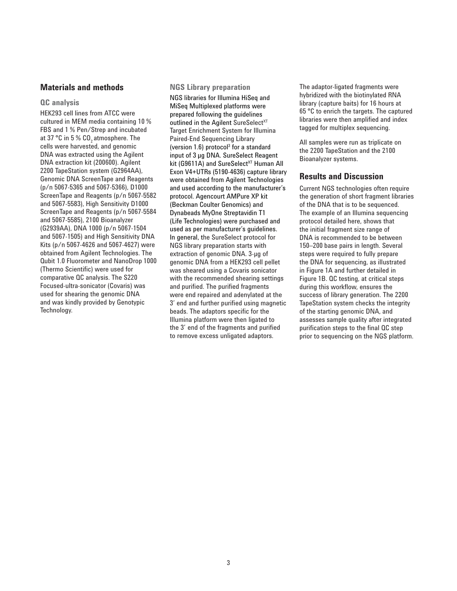# **Materials and methods**

#### **QC analysis**

HEK293 cell lines from ATCC were cultured in MEM media containing 10 % FBS and 1 % Pen/Strep and incubated at 37 °C in 5 %  $CO$ , atmosphere. The cells were harvested, and genomic DNA was extracted using the Agilent DNA extraction kit (200600). Agilent 2200 TapeStation system (G2964AA), Genomic DNA ScreenTape and Reagents (p/n 5067-5365 and 5067-5366), D1000 ScreenTape and Reagents (p/n 5067-5582 and 5067-5583), High Sensitivity D1000 ScreenTape and Reagents (p/n 5067-5584 and 5067-5585), 2100 Bioanalyzer (G2939AA), DNA 1000 (p/n 5067-1504 and 5067-1505) and High Sensitivity DNA Kits (p/n 5067-4626 and 5067-4627) were obtained from Agilent Technologies. The Qubit 1.0 Fluorometer and NanoDrop 1000 (Thermo Scientific) were used for comparative QC analysis. The S220 Focused-ultra-sonicator (Covaris) was used for shearing the genomic DNA and was kindly provided by Genotypic Technology.

#### **NGS Library preparation**

NGS libraries for Illumina HiSeq and MiSeq Multiplexed platforms were prepared following the guidelines outlined in the Agilent SureSelect<sup>XT</sup> Target Enrichment System for Illumina Paired-End Sequencing Library (version  $1.6$ ) protocol<sup>3</sup> for a standard input of 3 µg DNA. SureSelect Reagent kit (G9611A) and SureSelect<sup>XT</sup> Human All Exon V4+UTRs (5190-4636) capture library were obtained from Agilent Technologies and used according to the manufacturer's protocol. Agencourt AMPure XP kit (Beckman Coulter Genomics) and Dynabeads MyOne Streptavidin T1 (Life Technologies) were purchased and used as per manufacturer's guidelines. In general, the SureSelect protocol for NGS library preparation starts with extraction of genomic DNA. 3-μg of genomic DNA from a HEK293 cell pellet was sheared using a Covaris sonicator with the recommended shearing settings and purified. The purified fragments were end repaired and adenylated at the 3' end and further purified using magnetic beads. The adaptors specific for the Illumina platform were then ligated to the 3' end of the fragments and purified to remove excess unligated adaptors.

The adaptor-ligated fragments were hybridized with the biotinylated RNA library (capture baits) for 16 hours at 65 °C to enrich the targets. The captured libraries were then amplified and index tagged for multiplex sequencing.

All samples were run as triplicate on the 2200 TapeStation and the 2100 Bioanalyzer systems.

# **Results and Discussion**

Current NGS technologies often require the generation of short fragment libraries of the DNA that is to be sequenced. The example of an Illumina sequencing protocol detailed here, shows that the initial fragment size range of DNA is recommended to be between 150–200 base pairs in length. Several steps were required to fully prepare the DNA for sequencing, as illustrated in Figure 1A and further detailed in Figure 1B. QC testing, at critical steps during this workflow, ensures the success of library generation. The 2200 TapeStation system checks the integrity of the starting genomic DNA, and assesses sample quality after integrated purification steps to the final QC step prior to sequencing on the NGS platform.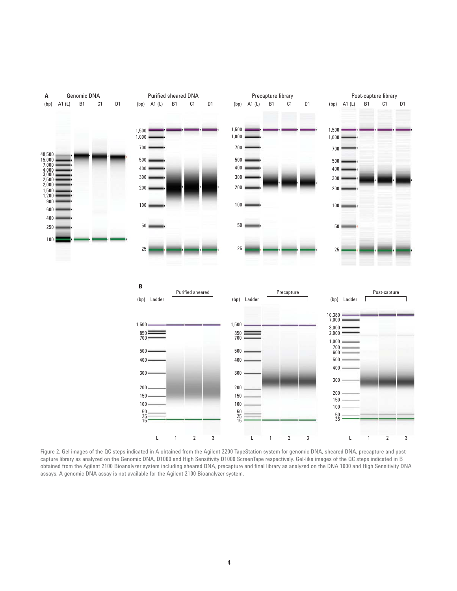

Figure 2. Gel images of the QC steps indicated in A obtained from the Agilent 2200 TapeStation system for genomic DNA, sheared DNA, precapture and postcapture library as analyzed on the Genomic DNA, D1000 and High Sensitivity D1000 ScreenTape respectively. Gel-like images of the QC steps indicated in B obtained from the Agilent 2100 Bioanalyzer system including sheared DNA, precapture and final library as analyzed on the DNA 1000 and High Sensitivity DNA assays. A genomic DNA assay is not available for the Agilent 2100 Bioanalyzer system.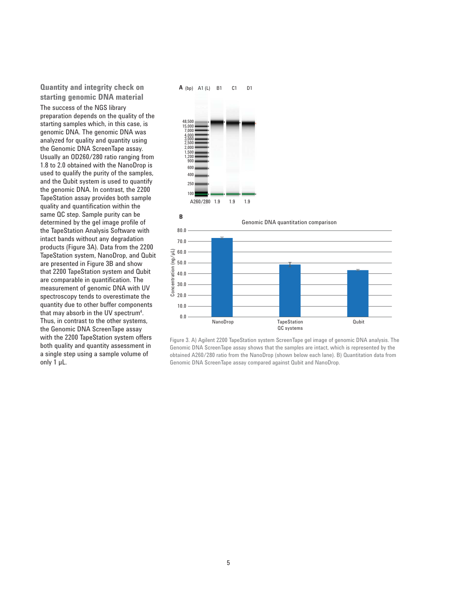#### **Quantity and integrity check on starting genomic DNA material**

The success of the NGS library preparation depends on the quality of the starting samples which, in this case, is genomic DNA. The genomic DNA was analyzed for quality and quantity using the Genomic DNA ScreenTape assay. Usually an OD260/280 ratio ranging from 1.8 to 2.0 obtained with the NanoDrop is used to qualify the purity of the samples, and the Qubit system is used to quantify the genomic DNA. In contrast, the 2200 TapeStation assay provides both sample quality and quantification within the same QC step. Sample purity can be determined by the gel image profile of the TapeStation Analysis Software with intact bands without any degradation products (Figure 3A). Data from the 2200 TapeStation system, NanoDrop, and Qubit are presented in Figure 3B and show that 2200 TapeStation system and Qubit are comparable in quantification. The measurement of genomic DNA with UV spectroscopy tends to overestimate the quantity due to other buffer components that may absorb in the UV spectrum<sup>4</sup>. Thus, in contrast to the other systems, the Genomic DNA ScreenTape assay with the 2200 TapeStation system offers both quality and quantity assessment in a single step using a sample volume of only 1 µL.



Figure 3. A) Agilent 2200 TapeStation system ScreenTape gel image of genomic DNA analysis. The Genomic DNA ScreenTape assay shows that the samples are intact, which is represented by the obtained A260/280 ratio from the NanoDrop (shown below each lane). B) Quantitation data from Genomic DNA ScreenTape assay compared against Qubit and NanoDrop.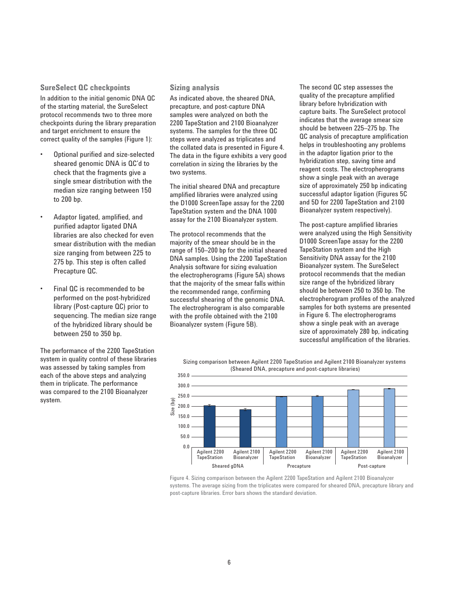#### **SureSelect QC checkpoints**

In addition to the initial genomic DNA QC of the starting material, the SureSelect protocol recommends two to three more checkpoints during the library preparation and target enrichment to ensure the correct quality of the samples (Figure 1):

- Optional purified and size-selected sheared genomic DNA is QC'd to check that the fragments give a single smear distribution with the median size ranging between 150 to 200 bp.
- Adaptor ligated, amplified, and purified adaptor ligated DNA libraries are also checked for even smear distribution with the median size ranging from between 225 to 275 bp. This step is often called Precapture QC.
- Final QC is recommended to be performed on the post-hybridized library (Post-capture QC) prior to sequencing. The median size range of the hybridized library should be between 250 to 350 bp.

The performance of the 2200 TapeStation system in quality control of these libraries was assessed by taking samples from each of the above steps and analyzing them in triplicate. The performance was compared to the 2100 Bioanalyzer system.

#### **Sizing analysis**

As indicated above, the sheared DNA, precapture, and post-capture DNA samples were analyzed on both the 2200 TapeStation and 2100 Bioanalyzer systems. The samples for the three QC steps were analyzed as triplicates and the collated data is presented in Figure 4. The data in the figure exhibits a very good correlation in sizing the libraries by the two systems.

The initial sheared DNA and precapture amplified libraries were analyzed using the D1000 ScreenTape assay for the 2200 TapeStation system and the DNA 1000 assay for the 2100 Bioanalyzer system.

The protocol recommends that the majority of the smear should be in the range of 150–200 bp for the initial sheared DNA samples. Using the 2200 TapeStation Analysis software for sizing evaluation the electropherograms (Figure 5A) shows that the majority of the smear falls within the recommended range, confirming successful shearing of the genomic DNA. The electropherogram is also comparable with the profile obtained with the 2100 Bioanalyzer system (Figure 5B).

The second QC step assesses the quality of the precapture amplified library before hybridization with capture baits. The SureSelect protocol indicates that the average smear size should be between 225–275 bp. The QC analysis of precapture amplification helps in troubleshooting any problems in the adaptor ligation prior to the hybridization step, saving time and reagent costs. The electropherograms show a single peak with an average size of approximately 250 bp indicating successful adaptor ligation (Figures 5C and 5D for 2200 TapeStation and 2100 Bioanalyzer system respectively).

The post-capture amplified libraries were analyzed using the High Sensitivity D1000 ScreenTape assay for the 2200 TapeStation system and the High Sensitivity DNA assay for the 2100 Bioanalyzer system. The SureSelect protocol recommends that the median size range of the hybridized library should be between 250 to 350 bp. The electropherogram profiles of the analyzed samples for both systems are presented in Figure 6. The electropherograms show a single peak with an average size of approximately 280 bp, indicating successful amplification of the libraries.

Sizing comparison between Agilent 2200 TapeStation and Agilent 2100 Bioanalyzer systems (Sheared DNA, precapture and post-capture libraries)



Figure 4. Sizing comparison between the Agilent 2200 TapeStation and Agilent 2100 Bioanalyzer systems. The average sizing from the triplicates were compared for sheared DNA, precapture library and post-capture libraries. Error bars shows the standard deviation.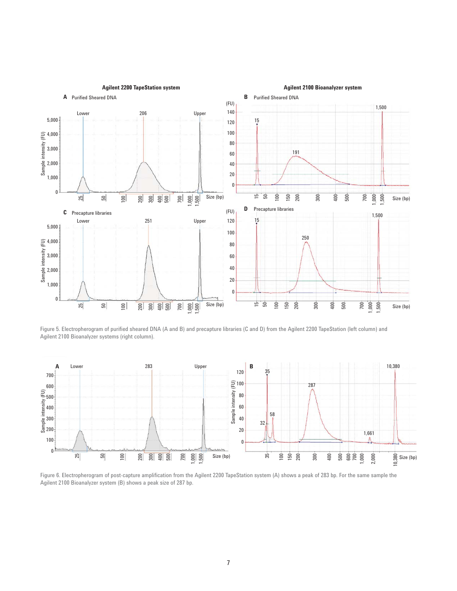

Figure 5. Electropherogram of purified sheared DNA (A and B) and precapture libraries (C and D) from the Agilent 2200 TapeStation (left column) and Agilent 2100 Bioanalyzer systems (right column).



Figure 6. Electropherogram of post-capture amplification from the Agilent 2200 TapeStation system (A) shows a peak of 283 bp. For the same sample the Agilent 2100 Bioanalyzer system (B) shows a peak size of 287 bp.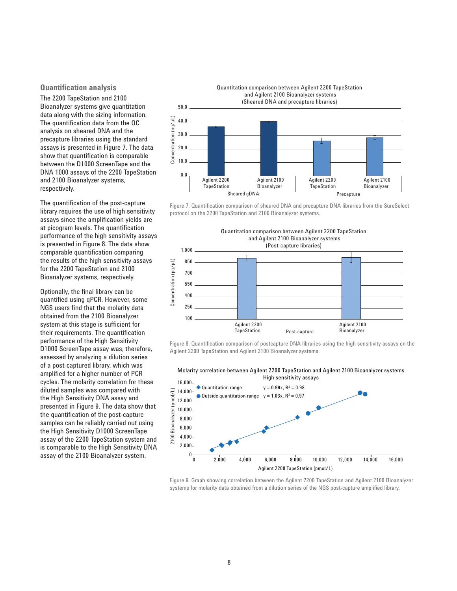#### **Quantification analysis**

The 2200 TapeStation and 2100 Bioanalyzer systems give quantitation data along with the sizing information. The quantification data from the QC analysis on sheared DNA and the precapture libraries using the standard assays is presented in Figure 7. The data show that quantification is comparable between the D1000 ScreenTape and the DNA 1000 assays of the 2200 TapeStation and 2100 Bioanalyzer systems, respectively.

The quantification of the post-capture library requires the use of high sensitivity assays since the amplification yields are at picogram levels. The quantification performance of the high sensitivity assays is presented in Figure 8. The data show comparable quantification comparing the results of the high sensitivity assays for the 2200 TapeStation and 2100 Bioanalyzer systems, respectively.

Optionally, the final library can be quantified using qPCR. However, some NGS users find that the molarity data obtained from the 2100 Bioanalyzer system at this stage is sufficient for their requirements. The quantification performance of the High Sensitivity D1000 ScreenTape assay was, therefore, assessed by analyzing a dilution series of a post-captured library, which was amplified for a higher number of PCR cycles. The molarity correlation for these diluted samples was compared with the High Sensitivity DNA assay and presented in Figure 9. The data show that the quantification of the post-capture samples can be reliably carried out using the High Sensitivity D1000 ScreenTape assay of the 2200 TapeStation system and is comparable to the High Sensitivity DNA assay of the 2100 Bioanalyzer system.



Quantitation comparison between Agilent 2200 TapeStation

Figure 7. Quantification comparison of sheared DNA and precapture DNA libraries from the SureSelect protocol on the 2200 TapeStation and 2100 Bioanalyzer systems.



Figure 8. Quantification comparison of postcapture DNA libraries using the high sensitivity assays on the Agilent 2200 TapeStation and Agilent 2100 Bioanalyzer systems.

Molarity correlation between Agilent 2200 TapeStation and Agilent 2100 Bioanalyzer systems High sensitivity assays



Figure 9. Graph showing correlation between the Agilent 2200 TapeStation and Agilent 2100 Bioanalyzer systems for molarity data obtained from a dilution series of the NGS post-capture amplified library.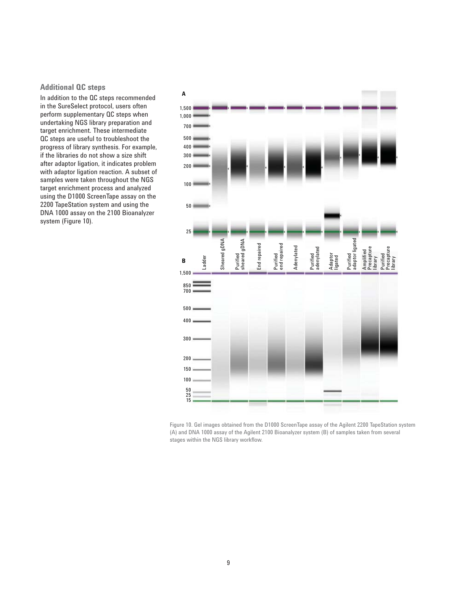#### **Additional QC steps**

In addition to the QC steps recommended in the SureSelect protocol, users often perform supplementary QC steps when undertaking NGS library preparation and target enrichment. These intermediate QC steps are useful to troubleshoot the progress of library synthesis. For example, if the libraries do not show a size shift after adaptor ligation, it indicates problem with adaptor ligation reaction. A subset of samples were taken throughout the NGS target enrichment process and analyzed using the D1000 ScreenTape assay on the 2200 TapeStation system and using the DNA 1000 assay on the 2100 Bioanalyzer system (Figure 10).



Figure 10. Gel images obtained from the D1000 ScreenTape assay of the Agilent 2200 TapeStation system (A) and DNA 1000 assay of the Agilent 2100 Bioanalyzer system (B) of samples taken from several stages within the NGS library workflow.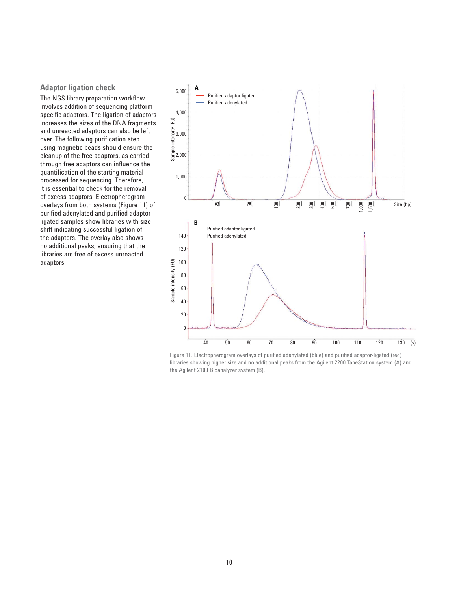#### **Adaptor ligation check**

The NGS library preparation workflow involves addition of sequencing platform specific adaptors. The ligation of adaptors increases the sizes of the DNA fragments and unreacted adaptors can also be left over. The following purification step using magnetic beads should ensure the cleanup of the free adaptors, as carried through free adaptors can influence the quantification of the starting material processed for sequencing. Therefore, it is essential to check for the removal of excess adaptors. Electropherogram overlays from both systems (Figure 11) of purified adenylated and purified adaptor ligated samples show libraries with size shift indicating successful ligation of the adaptors. The overlay also shows no additional peaks, ensuring that the libraries are free of excess unreacted adaptors.



Figure 11. Electropherogram overlays of purified adenylated (blue) and purified adaptor-ligated (red) libraries showing higher size and no additional peaks from the Agilent 2200 TapeStation system (A) and the Agilent 2100 Bioanalyzer system (B).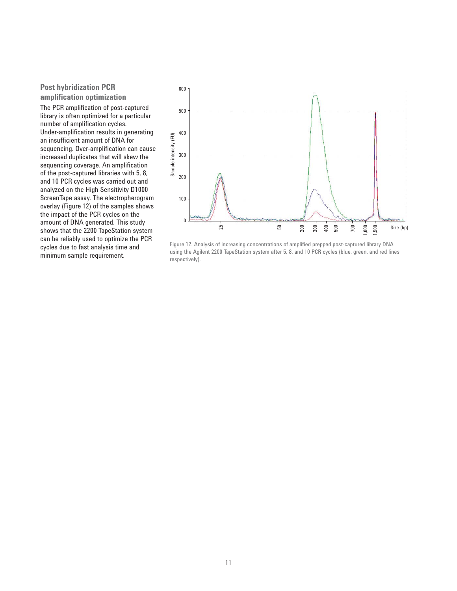#### **Post hybridization PCR amplifi cation optimization**

The PCR amplification of post-captured library is often optimized for a particular number of amplification cycles. Under-amplification results in generating an insufficient amount of DNA for sequencing. Over-amplification can cause increased duplicates that will skew the sequencing coverage. An amplification of the post-captured libraries with 5, 8, and 10 PCR cycles was carried out and analyzed on the High Sensitivity D1000 ScreenTape assay. The electropherogram overlay (Figure 12) of the samples shows the impact of the PCR cycles on the amount of DNA generated. This study shows that the 2200 TapeStation system can be reliably used to optimize the PCR cycles due to fast analysis time and minimum sample requirement.



Figure 12. Analysis of increasing concentrations of amplified prepped post-captured library DNA using the Agilent 2200 TapeStation system after 5, 8, and 10 PCR cycles (blue, green, and red lines respectively).